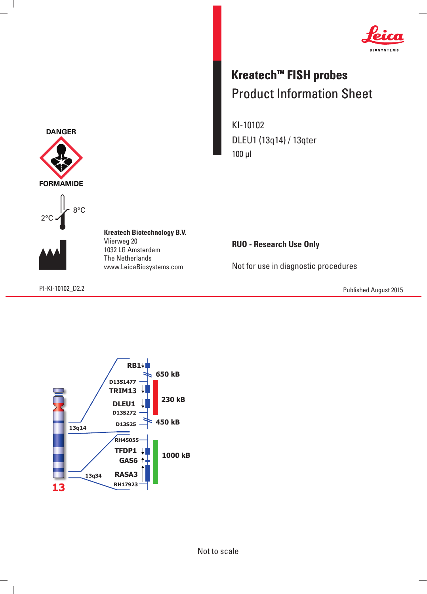

## **Kreatech™ FISH probes** Product Information Sheet

KI-10102 DLEU1 (13q14) / 13qter 100 μl

**RUO - Research Use Only**

Not for use in diagnostic procedures

PI-KI-10102\_D2.2 Published August 2015







 $\overline{\phantom{a}}$ 

**Kreatech Biotechnology B.V.** Vlierweg 20 1032 LG Amsterdam The Netherlands www.LeicaBiosystems.com